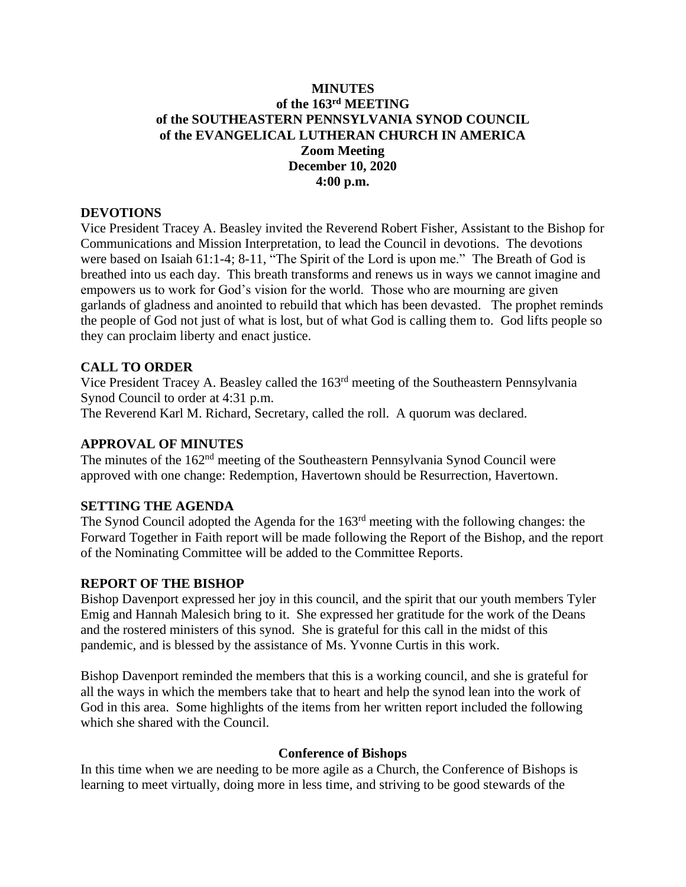# **MINUTES of the 163rd MEETING of the SOUTHEASTERN PENNSYLVANIA SYNOD COUNCIL of the EVANGELICAL LUTHERAN CHURCH IN AMERICA Zoom Meeting December 10, 2020 4:00 p.m.**

## **DEVOTIONS**

Vice President Tracey A. Beasley invited the Reverend Robert Fisher, Assistant to the Bishop for Communications and Mission Interpretation, to lead the Council in devotions. The devotions were based on Isaiah 61:1-4; 8-11, "The Spirit of the Lord is upon me." The Breath of God is breathed into us each day. This breath transforms and renews us in ways we cannot imagine and empowers us to work for God's vision for the world. Those who are mourning are given garlands of gladness and anointed to rebuild that which has been devasted. The prophet reminds the people of God not just of what is lost, but of what God is calling them to. God lifts people so they can proclaim liberty and enact justice.

# **CALL TO ORDER**

Vice President Tracey A. Beasley called the 163<sup>rd</sup> meeting of the Southeastern Pennsylvania Synod Council to order at 4:31 p.m.

The Reverend Karl M. Richard, Secretary, called the roll. A quorum was declared.

# **APPROVAL OF MINUTES**

The minutes of the 162<sup>nd</sup> meeting of the Southeastern Pennsylvania Synod Council were approved with one change: Redemption, Havertown should be Resurrection, Havertown.

## **SETTING THE AGENDA**

The Synod Council adopted the Agenda for the 163rd meeting with the following changes: the Forward Together in Faith report will be made following the Report of the Bishop, and the report of the Nominating Committee will be added to the Committee Reports.

## **REPORT OF THE BISHOP**

Bishop Davenport expressed her joy in this council, and the spirit that our youth members Tyler Emig and Hannah Malesich bring to it. She expressed her gratitude for the work of the Deans and the rostered ministers of this synod. She is grateful for this call in the midst of this pandemic, and is blessed by the assistance of Ms. Yvonne Curtis in this work.

Bishop Davenport reminded the members that this is a working council, and she is grateful for all the ways in which the members take that to heart and help the synod lean into the work of God in this area. Some highlights of the items from her written report included the following which she shared with the Council.

## **Conference of Bishops**

In this time when we are needing to be more agile as a Church, the Conference of Bishops is learning to meet virtually, doing more in less time, and striving to be good stewards of the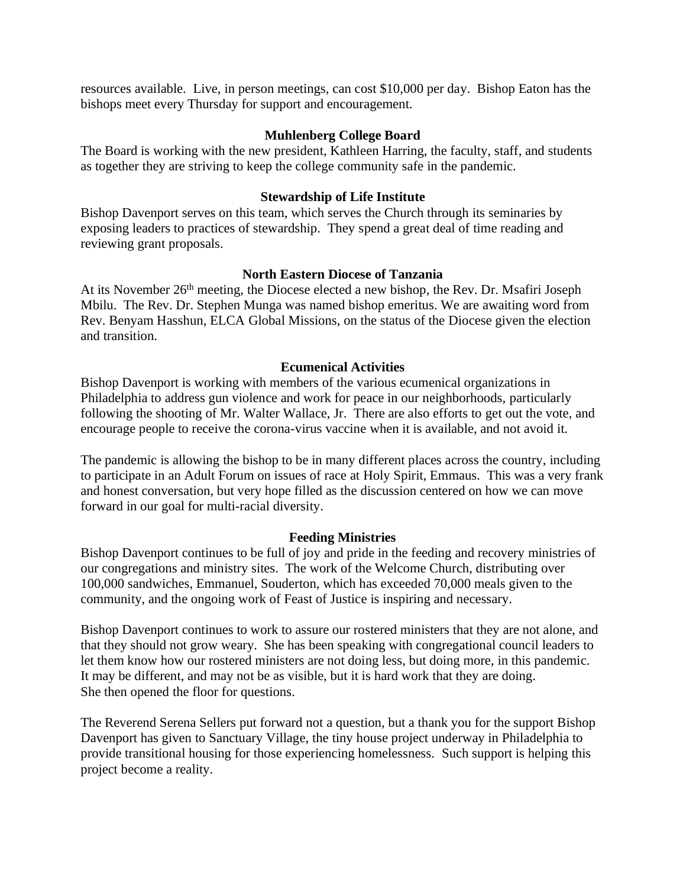resources available. Live, in person meetings, can cost \$10,000 per day. Bishop Eaton has the bishops meet every Thursday for support and encouragement.

## **Muhlenberg College Board**

The Board is working with the new president, Kathleen Harring, the faculty, staff, and students as together they are striving to keep the college community safe in the pandemic.

## **Stewardship of Life Institute**

Bishop Davenport serves on this team, which serves the Church through its seminaries by exposing leaders to practices of stewardship. They spend a great deal of time reading and reviewing grant proposals.

# **North Eastern Diocese of Tanzania**

At its November 26<sup>th</sup> meeting, the Diocese elected a new bishop, the Rev. Dr. Msafiri Joseph Mbilu. The Rev. Dr. Stephen Munga was named bishop emeritus. We are awaiting word from Rev. Benyam Hasshun, ELCA Global Missions, on the status of the Diocese given the election and transition.

# **Ecumenical Activities**

Bishop Davenport is working with members of the various ecumenical organizations in Philadelphia to address gun violence and work for peace in our neighborhoods, particularly following the shooting of Mr. Walter Wallace, Jr. There are also efforts to get out the vote, and encourage people to receive the corona-virus vaccine when it is available, and not avoid it.

The pandemic is allowing the bishop to be in many different places across the country, including to participate in an Adult Forum on issues of race at Holy Spirit, Emmaus. This was a very frank and honest conversation, but very hope filled as the discussion centered on how we can move forward in our goal for multi-racial diversity.

# **Feeding Ministries**

Bishop Davenport continues to be full of joy and pride in the feeding and recovery ministries of our congregations and ministry sites. The work of the Welcome Church, distributing over 100,000 sandwiches, Emmanuel, Souderton, which has exceeded 70,000 meals given to the community, and the ongoing work of Feast of Justice is inspiring and necessary.

Bishop Davenport continues to work to assure our rostered ministers that they are not alone, and that they should not grow weary. She has been speaking with congregational council leaders to let them know how our rostered ministers are not doing less, but doing more, in this pandemic. It may be different, and may not be as visible, but it is hard work that they are doing. She then opened the floor for questions.

The Reverend Serena Sellers put forward not a question, but a thank you for the support Bishop Davenport has given to Sanctuary Village, the tiny house project underway in Philadelphia to provide transitional housing for those experiencing homelessness. Such support is helping this project become a reality.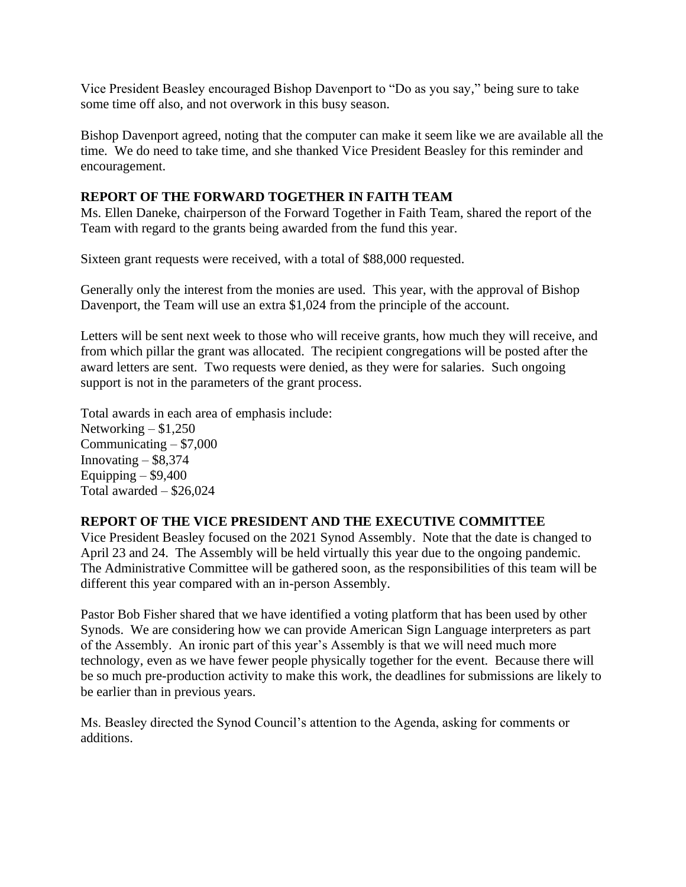Vice President Beasley encouraged Bishop Davenport to "Do as you say," being sure to take some time off also, and not overwork in this busy season.

Bishop Davenport agreed, noting that the computer can make it seem like we are available all the time. We do need to take time, and she thanked Vice President Beasley for this reminder and encouragement.

# **REPORT OF THE FORWARD TOGETHER IN FAITH TEAM**

Ms. Ellen Daneke, chairperson of the Forward Together in Faith Team, shared the report of the Team with regard to the grants being awarded from the fund this year.

Sixteen grant requests were received, with a total of \$88,000 requested.

Generally only the interest from the monies are used. This year, with the approval of Bishop Davenport, the Team will use an extra \$1,024 from the principle of the account.

Letters will be sent next week to those who will receive grants, how much they will receive, and from which pillar the grant was allocated. The recipient congregations will be posted after the award letters are sent. Two requests were denied, as they were for salaries. Such ongoing support is not in the parameters of the grant process.

Total awards in each area of emphasis include: Networking  $- $1,250$ Communicating – \$7,000 Innovating  $-$  \$8,374 Equipping  $-$  \$9,400 Total awarded – \$26,024

# **REPORT OF THE VICE PRESIDENT AND THE EXECUTIVE COMMITTEE**

Vice President Beasley focused on the 2021 Synod Assembly. Note that the date is changed to April 23 and 24. The Assembly will be held virtually this year due to the ongoing pandemic. The Administrative Committee will be gathered soon, as the responsibilities of this team will be different this year compared with an in-person Assembly.

Pastor Bob Fisher shared that we have identified a voting platform that has been used by other Synods. We are considering how we can provide American Sign Language interpreters as part of the Assembly. An ironic part of this year's Assembly is that we will need much more technology, even as we have fewer people physically together for the event. Because there will be so much pre-production activity to make this work, the deadlines for submissions are likely to be earlier than in previous years.

Ms. Beasley directed the Synod Council's attention to the Agenda, asking for comments or additions.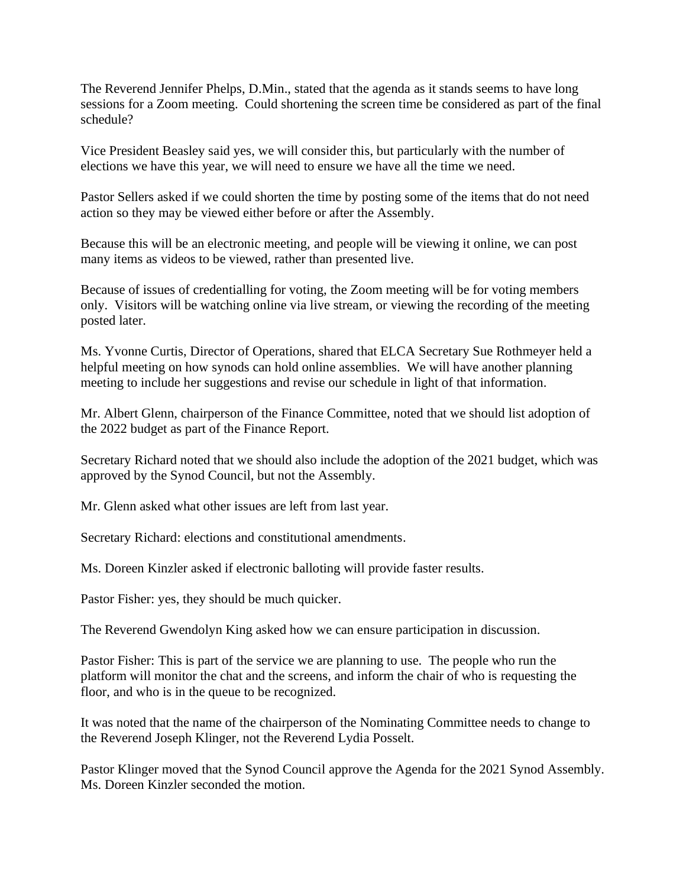The Reverend Jennifer Phelps, D.Min., stated that the agenda as it stands seems to have long sessions for a Zoom meeting. Could shortening the screen time be considered as part of the final schedule?

Vice President Beasley said yes, we will consider this, but particularly with the number of elections we have this year, we will need to ensure we have all the time we need.

Pastor Sellers asked if we could shorten the time by posting some of the items that do not need action so they may be viewed either before or after the Assembly.

Because this will be an electronic meeting, and people will be viewing it online, we can post many items as videos to be viewed, rather than presented live.

Because of issues of credentialling for voting, the Zoom meeting will be for voting members only. Visitors will be watching online via live stream, or viewing the recording of the meeting posted later.

Ms. Yvonne Curtis, Director of Operations, shared that ELCA Secretary Sue Rothmeyer held a helpful meeting on how synods can hold online assemblies. We will have another planning meeting to include her suggestions and revise our schedule in light of that information.

Mr. Albert Glenn, chairperson of the Finance Committee, noted that we should list adoption of the 2022 budget as part of the Finance Report.

Secretary Richard noted that we should also include the adoption of the 2021 budget, which was approved by the Synod Council, but not the Assembly.

Mr. Glenn asked what other issues are left from last year.

Secretary Richard: elections and constitutional amendments.

Ms. Doreen Kinzler asked if electronic balloting will provide faster results.

Pastor Fisher: yes, they should be much quicker.

The Reverend Gwendolyn King asked how we can ensure participation in discussion.

Pastor Fisher: This is part of the service we are planning to use. The people who run the platform will monitor the chat and the screens, and inform the chair of who is requesting the floor, and who is in the queue to be recognized.

It was noted that the name of the chairperson of the Nominating Committee needs to change to the Reverend Joseph Klinger, not the Reverend Lydia Posselt.

Pastor Klinger moved that the Synod Council approve the Agenda for the 2021 Synod Assembly. Ms. Doreen Kinzler seconded the motion.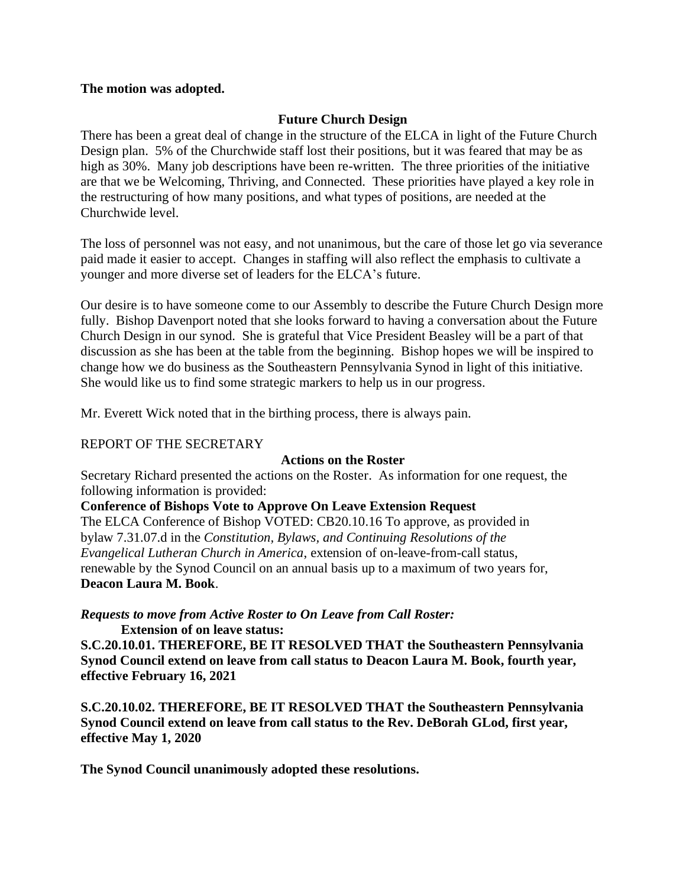## **The motion was adopted.**

# **Future Church Design**

There has been a great deal of change in the structure of the ELCA in light of the Future Church Design plan. 5% of the Churchwide staff lost their positions, but it was feared that may be as high as 30%. Many job descriptions have been re-written. The three priorities of the initiative are that we be Welcoming, Thriving, and Connected. These priorities have played a key role in the restructuring of how many positions, and what types of positions, are needed at the Churchwide level.

The loss of personnel was not easy, and not unanimous, but the care of those let go via severance paid made it easier to accept. Changes in staffing will also reflect the emphasis to cultivate a younger and more diverse set of leaders for the ELCA's future.

Our desire is to have someone come to our Assembly to describe the Future Church Design more fully. Bishop Davenport noted that she looks forward to having a conversation about the Future Church Design in our synod. She is grateful that Vice President Beasley will be a part of that discussion as she has been at the table from the beginning. Bishop hopes we will be inspired to change how we do business as the Southeastern Pennsylvania Synod in light of this initiative. She would like us to find some strategic markers to help us in our progress.

Mr. Everett Wick noted that in the birthing process, there is always pain.

#### REPORT OF THE SECRETARY

#### **Actions on the Roster**

Secretary Richard presented the actions on the Roster. As information for one request, the following information is provided:

**Conference of Bishops Vote to Approve On Leave Extension Request**

The ELCA Conference of Bishop VOTED: CB20.10.16 To approve, as provided in bylaw 7.31.07.d in the *Constitution, Bylaws, and Continuing Resolutions of the Evangelical Lutheran Church in America*, extension of on-leave-from-call status, renewable by the Synod Council on an annual basis up to a maximum of two years for, **Deacon Laura M. Book**.

## *Requests to move from Active Roster to On Leave from Call Roster:* **Extension of on leave status:**

**S.C.20.10.01. THEREFORE, BE IT RESOLVED THAT the Southeastern Pennsylvania Synod Council extend on leave from call status to Deacon Laura M. Book, fourth year, effective February 16, 2021**

**S.C.20.10.02. THEREFORE, BE IT RESOLVED THAT the Southeastern Pennsylvania Synod Council extend on leave from call status to the Rev. DeBorah GLod, first year, effective May 1, 2020**

**The Synod Council unanimously adopted these resolutions.**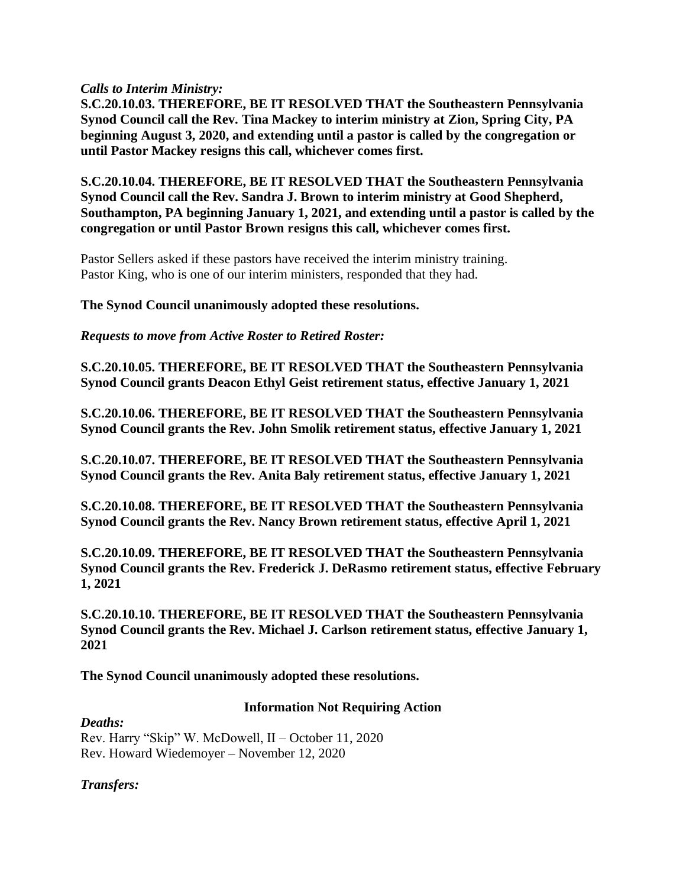*Calls to Interim Ministry:*

**S.C.20.10.03. THEREFORE, BE IT RESOLVED THAT the Southeastern Pennsylvania Synod Council call the Rev. Tina Mackey to interim ministry at Zion, Spring City, PA beginning August 3, 2020, and extending until a pastor is called by the congregation or until Pastor Mackey resigns this call, whichever comes first.**

**S.C.20.10.04. THEREFORE, BE IT RESOLVED THAT the Southeastern Pennsylvania Synod Council call the Rev. Sandra J. Brown to interim ministry at Good Shepherd, Southampton, PA beginning January 1, 2021, and extending until a pastor is called by the congregation or until Pastor Brown resigns this call, whichever comes first.**

Pastor Sellers asked if these pastors have received the interim ministry training. Pastor King, who is one of our interim ministers, responded that they had.

**The Synod Council unanimously adopted these resolutions.**

*Requests to move from Active Roster to Retired Roster:*

**S.C.20.10.05. THEREFORE, BE IT RESOLVED THAT the Southeastern Pennsylvania Synod Council grants Deacon Ethyl Geist retirement status, effective January 1, 2021**

**S.C.20.10.06. THEREFORE, BE IT RESOLVED THAT the Southeastern Pennsylvania Synod Council grants the Rev. John Smolik retirement status, effective January 1, 2021**

**S.C.20.10.07. THEREFORE, BE IT RESOLVED THAT the Southeastern Pennsylvania Synod Council grants the Rev. Anita Baly retirement status, effective January 1, 2021**

**S.C.20.10.08. THEREFORE, BE IT RESOLVED THAT the Southeastern Pennsylvania Synod Council grants the Rev. Nancy Brown retirement status, effective April 1, 2021**

**S.C.20.10.09. THEREFORE, BE IT RESOLVED THAT the Southeastern Pennsylvania Synod Council grants the Rev. Frederick J. DeRasmo retirement status, effective February 1, 2021**

**S.C.20.10.10. THEREFORE, BE IT RESOLVED THAT the Southeastern Pennsylvania Synod Council grants the Rev. Michael J. Carlson retirement status, effective January 1, 2021**

**The Synod Council unanimously adopted these resolutions.**

## **Information Not Requiring Action**

*Deaths:* Rev. Harry "Skip" W. McDowell, II – October 11, 2020 Rev. Howard Wiedemoyer – November 12, 2020

*Transfers:*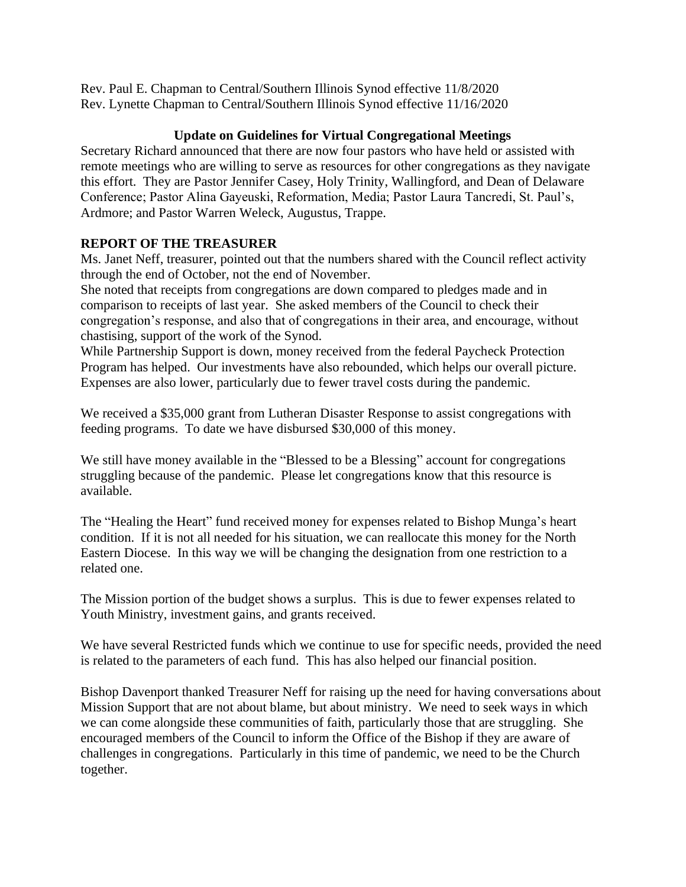Rev. Paul E. Chapman to Central/Southern Illinois Synod effective 11/8/2020 Rev. Lynette Chapman to Central/Southern Illinois Synod effective 11/16/2020

# **Update on Guidelines for Virtual Congregational Meetings**

Secretary Richard announced that there are now four pastors who have held or assisted with remote meetings who are willing to serve as resources for other congregations as they navigate this effort. They are Pastor Jennifer Casey, Holy Trinity, Wallingford, and Dean of Delaware Conference; Pastor Alina Gayeuski, Reformation, Media; Pastor Laura Tancredi, St. Paul's, Ardmore; and Pastor Warren Weleck, Augustus, Trappe.

# **REPORT OF THE TREASURER**

Ms. Janet Neff, treasurer, pointed out that the numbers shared with the Council reflect activity through the end of October, not the end of November.

She noted that receipts from congregations are down compared to pledges made and in comparison to receipts of last year. She asked members of the Council to check their congregation's response, and also that of congregations in their area, and encourage, without chastising, support of the work of the Synod.

While Partnership Support is down, money received from the federal Paycheck Protection Program has helped. Our investments have also rebounded, which helps our overall picture. Expenses are also lower, particularly due to fewer travel costs during the pandemic.

We received a \$35,000 grant from Lutheran Disaster Response to assist congregations with feeding programs. To date we have disbursed \$30,000 of this money.

We still have money available in the "Blessed to be a Blessing" account for congregations struggling because of the pandemic. Please let congregations know that this resource is available.

The "Healing the Heart" fund received money for expenses related to Bishop Munga's heart condition. If it is not all needed for his situation, we can reallocate this money for the North Eastern Diocese. In this way we will be changing the designation from one restriction to a related one.

The Mission portion of the budget shows a surplus. This is due to fewer expenses related to Youth Ministry, investment gains, and grants received.

We have several Restricted funds which we continue to use for specific needs, provided the need is related to the parameters of each fund. This has also helped our financial position.

Bishop Davenport thanked Treasurer Neff for raising up the need for having conversations about Mission Support that are not about blame, but about ministry. We need to seek ways in which we can come alongside these communities of faith, particularly those that are struggling. She encouraged members of the Council to inform the Office of the Bishop if they are aware of challenges in congregations. Particularly in this time of pandemic, we need to be the Church together.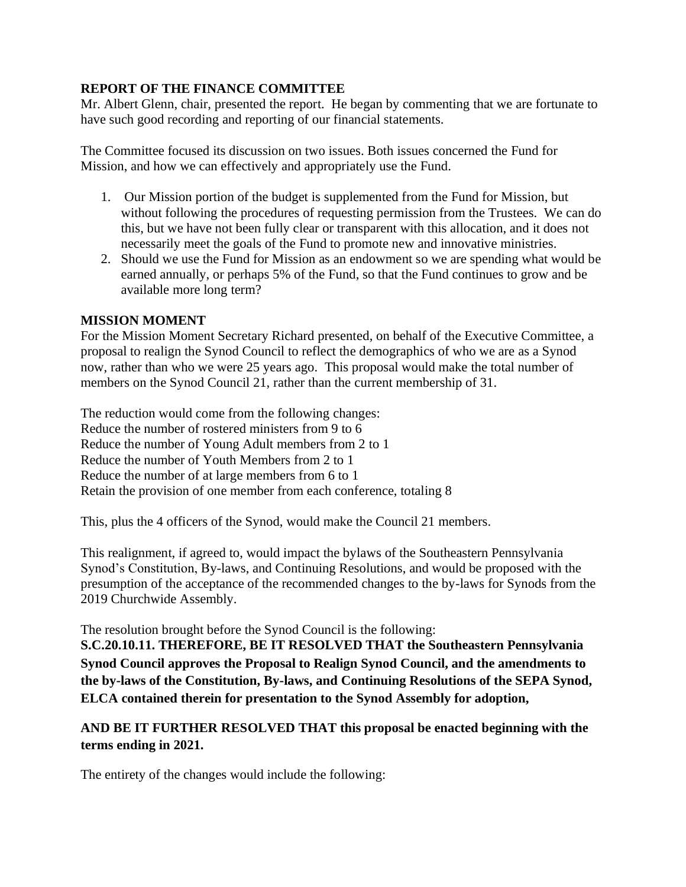# **REPORT OF THE FINANCE COMMITTEE**

Mr. Albert Glenn, chair, presented the report. He began by commenting that we are fortunate to have such good recording and reporting of our financial statements.

The Committee focused its discussion on two issues. Both issues concerned the Fund for Mission, and how we can effectively and appropriately use the Fund.

- 1. Our Mission portion of the budget is supplemented from the Fund for Mission, but without following the procedures of requesting permission from the Trustees. We can do this, but we have not been fully clear or transparent with this allocation, and it does not necessarily meet the goals of the Fund to promote new and innovative ministries.
- 2. Should we use the Fund for Mission as an endowment so we are spending what would be earned annually, or perhaps 5% of the Fund, so that the Fund continues to grow and be available more long term?

# **MISSION MOMENT**

For the Mission Moment Secretary Richard presented, on behalf of the Executive Committee, a proposal to realign the Synod Council to reflect the demographics of who we are as a Synod now, rather than who we were 25 years ago. This proposal would make the total number of members on the Synod Council 21, rather than the current membership of 31.

The reduction would come from the following changes: Reduce the number of rostered ministers from 9 to 6 Reduce the number of Young Adult members from 2 to 1 Reduce the number of Youth Members from 2 to 1 Reduce the number of at large members from 6 to 1 Retain the provision of one member from each conference, totaling 8

This, plus the 4 officers of the Synod, would make the Council 21 members.

This realignment, if agreed to, would impact the bylaws of the Southeastern Pennsylvania Synod's Constitution, By-laws, and Continuing Resolutions, and would be proposed with the presumption of the acceptance of the recommended changes to the by-laws for Synods from the 2019 Churchwide Assembly.

The resolution brought before the Synod Council is the following:

**S.C.20.10.11. THEREFORE, BE IT RESOLVED THAT the Southeastern Pennsylvania Synod Council approves the Proposal to Realign Synod Council, and the amendments to the by-laws of the Constitution, By-laws, and Continuing Resolutions of the SEPA Synod, ELCA contained therein for presentation to the Synod Assembly for adoption,**

# **AND BE IT FURTHER RESOLVED THAT this proposal be enacted beginning with the terms ending in 2021.**

The entirety of the changes would include the following: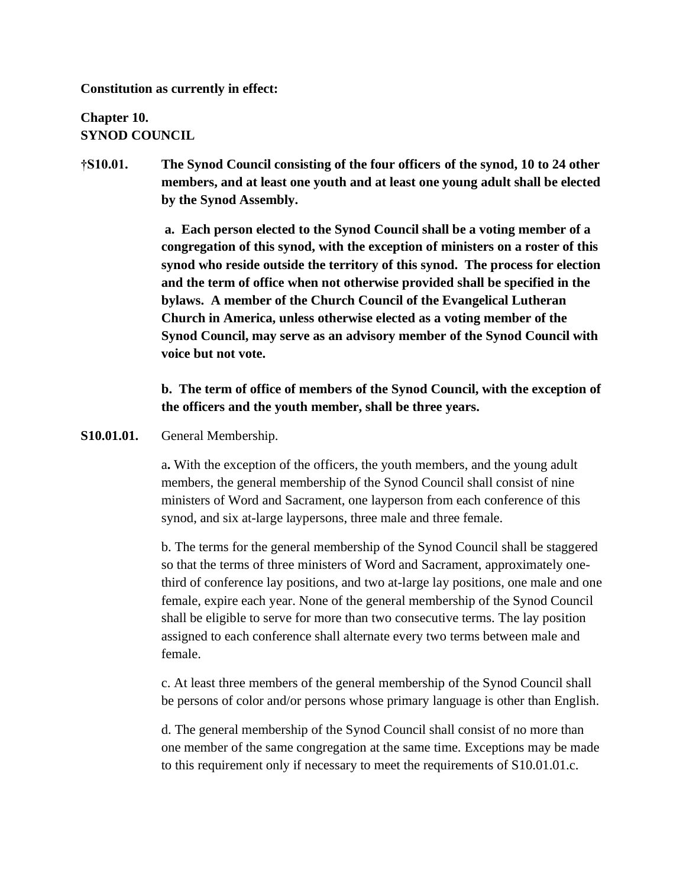**Constitution as currently in effect:**

**Chapter 10. SYNOD COUNCIL**

**†S10.01. The Synod Council consisting of the four officers of the synod, 10 to 24 other members, and at least one youth and at least one young adult shall be elected by the Synod Assembly.**

> **a. Each person elected to the Synod Council shall be a voting member of a congregation of this synod, with the exception of ministers on a roster of this synod who reside outside the territory of this synod. The process for election and the term of office when not otherwise provided shall be specified in the bylaws. A member of the Church Council of the Evangelical Lutheran Church in America, unless otherwise elected as a voting member of the Synod Council, may serve as an advisory member of the Synod Council with voice but not vote.**

> **b. The term of office of members of the Synod Council, with the exception of the officers and the youth member, shall be three years.**

**S10.01.01.** General Membership.

a**.** With the exception of the officers, the youth members, and the young adult members, the general membership of the Synod Council shall consist of nine ministers of Word and Sacrament, one layperson from each conference of this synod, and six at-large laypersons, three male and three female.

b. The terms for the general membership of the Synod Council shall be staggered so that the terms of three ministers of Word and Sacrament, approximately onethird of conference lay positions, and two at-large lay positions, one male and one female, expire each year. None of the general membership of the Synod Council shall be eligible to serve for more than two consecutive terms. The lay position assigned to each conference shall alternate every two terms between male and female.

c. At least three members of the general membership of the Synod Council shall be persons of color and/or persons whose primary language is other than English.

d. The general membership of the Synod Council shall consist of no more than one member of the same congregation at the same time. Exceptions may be made to this requirement only if necessary to meet the requirements of S10.01.01.c.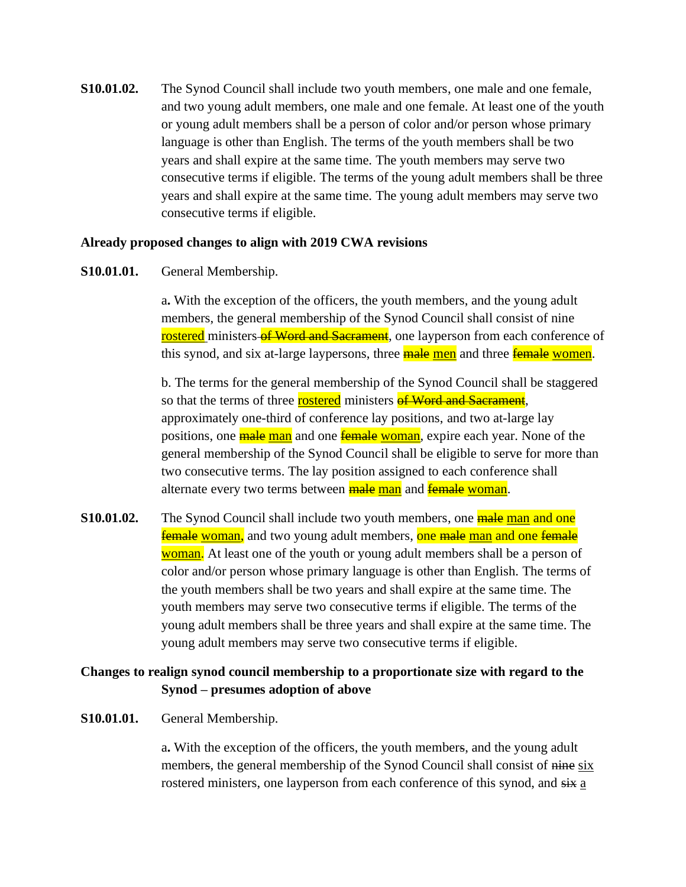**S10.01.02.** The Synod Council shall include two youth members, one male and one female, and two young adult members, one male and one female. At least one of the youth or young adult members shall be a person of color and/or person whose primary language is other than English. The terms of the youth members shall be two years and shall expire at the same time. The youth members may serve two consecutive terms if eligible. The terms of the young adult members shall be three years and shall expire at the same time. The young adult members may serve two consecutive terms if eligible.

#### **Already proposed changes to align with 2019 CWA revisions**

## **S10.01.01.** General Membership.

a**.** With the exception of the officers, the youth members, and the young adult members, the general membership of the Synod Council shall consist of nine rostered ministers of Word and Sacrament, one layperson from each conference of this synod, and six at-large laypersons, three **male men** and three **female women**.

b. The terms for the general membership of the Synod Council shall be staggered so that the terms of three **rostered** ministers **of Word and Sacrament**, approximately one-third of conference lay positions, and two at-large lay positions, one **male man** and one **female** woman, expire each year. None of the general membership of the Synod Council shall be eligible to serve for more than two consecutive terms. The lay position assigned to each conference shall alternate every two terms between **male man** and **female woman**.

**S10.01.02.** The Synod Council shall include two youth members, one **male man and one female woman**, and two young adult members, one male man and one female woman. At least one of the youth or young adult members shall be a person of color and/or person whose primary language is other than English. The terms of the youth members shall be two years and shall expire at the same time. The youth members may serve two consecutive terms if eligible. The terms of the young adult members shall be three years and shall expire at the same time. The young adult members may serve two consecutive terms if eligible.

# **Changes to realign synod council membership to a proportionate size with regard to the Synod – presumes adoption of above**

#### **S10.01.01.** General Membership.

a**.** With the exception of the officers, the youth members, and the young adult members, the general membership of the Synod Council shall consist of nine six rostered ministers, one layperson from each conference of this synod, and  $s\ddot{x}$  a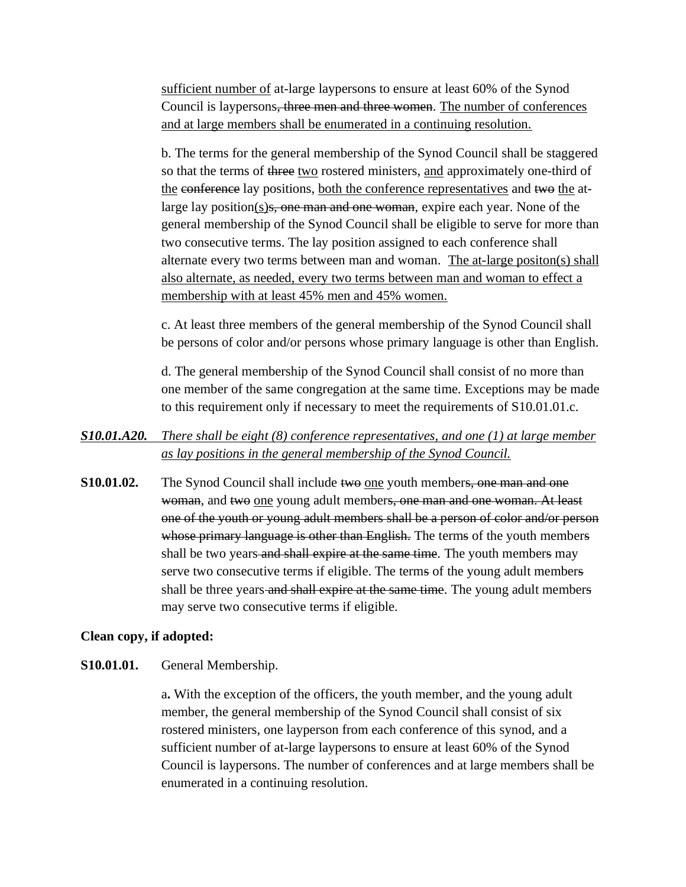sufficient number of at-large laypersons to ensure at least 60% of the Synod Council is laypersons, three men and three women. The number of conferences and at large members shall be enumerated in a continuing resolution.

b. The terms for the general membership of the Synod Council shall be staggered so that the terms of three two rostered ministers, and approximately one-third of the conference lay positions, both the conference representatives and two the atlarge lay position(s)<del>s, one man and one woman</del>, expire each year. None of the general membership of the Synod Council shall be eligible to serve for more than two consecutive terms. The lay position assigned to each conference shall alternate every two terms between man and woman. The at-large positon(s) shall also alternate, as needed, every two terms between man and woman to effect a membership with at least 45% men and 45% women.

c. At least three members of the general membership of the Synod Council shall be persons of color and/or persons whose primary language is other than English.

d. The general membership of the Synod Council shall consist of no more than one member of the same congregation at the same time. Exceptions may be made to this requirement only if necessary to meet the requirements of S10.01.01.c.

# *S10.01.A20. There shall be eight (8) conference representatives, and one (1) at large member as lay positions in the general membership of the Synod Council.*

**S10.01.02.** The Synod Council shall include two one youth members, one man and one woman, and two one young adult members, one man and one woman. At least one of the youth or young adult members shall be a person of color and/or person whose primary language is other than English. The terms of the youth members shall be two years and shall expire at the same time. The youth members may serve two consecutive terms if eligible. The terms of the young adult members shall be three years and shall expire at the same time. The young adult members may serve two consecutive terms if eligible.

## **Clean copy, if adopted:**

## **S10.01.01.** General Membership.

a**.** With the exception of the officers, the youth member, and the young adult member, the general membership of the Synod Council shall consist of six rostered ministers, one layperson from each conference of this synod, and a sufficient number of at-large laypersons to ensure at least 60% of the Synod Council is laypersons. The number of conferences and at large members shall be enumerated in a continuing resolution.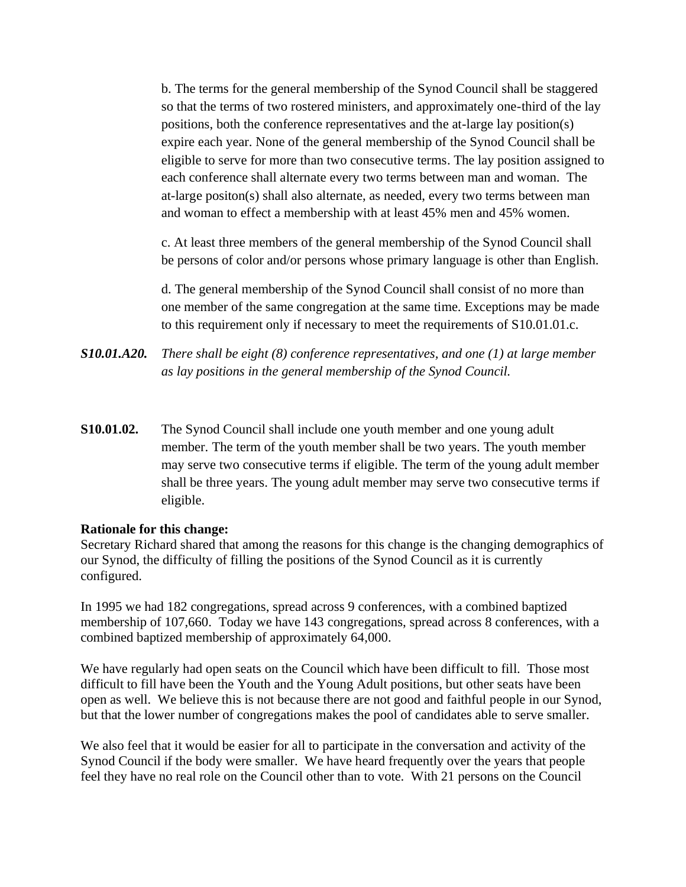b. The terms for the general membership of the Synod Council shall be staggered so that the terms of two rostered ministers, and approximately one-third of the lay positions, both the conference representatives and the at-large lay position(s) expire each year. None of the general membership of the Synod Council shall be eligible to serve for more than two consecutive terms. The lay position assigned to each conference shall alternate every two terms between man and woman. The at-large positon(s) shall also alternate, as needed, every two terms between man and woman to effect a membership with at least 45% men and 45% women.

c. At least three members of the general membership of the Synod Council shall be persons of color and/or persons whose primary language is other than English.

d. The general membership of the Synod Council shall consist of no more than one member of the same congregation at the same time. Exceptions may be made to this requirement only if necessary to meet the requirements of S10.01.01.c.

- *S10.01.A20. There shall be eight (8) conference representatives, and one (1) at large member as lay positions in the general membership of the Synod Council.*
- **S10.01.02.** The Synod Council shall include one youth member and one young adult member. The term of the youth member shall be two years. The youth member may serve two consecutive terms if eligible. The term of the young adult member shall be three years. The young adult member may serve two consecutive terms if eligible.

## **Rationale for this change:**

Secretary Richard shared that among the reasons for this change is the changing demographics of our Synod, the difficulty of filling the positions of the Synod Council as it is currently configured.

In 1995 we had 182 congregations, spread across 9 conferences, with a combined baptized membership of 107,660. Today we have 143 congregations, spread across 8 conferences, with a combined baptized membership of approximately 64,000.

We have regularly had open seats on the Council which have been difficult to fill. Those most difficult to fill have been the Youth and the Young Adult positions, but other seats have been open as well. We believe this is not because there are not good and faithful people in our Synod, but that the lower number of congregations makes the pool of candidates able to serve smaller.

We also feel that it would be easier for all to participate in the conversation and activity of the Synod Council if the body were smaller. We have heard frequently over the years that people feel they have no real role on the Council other than to vote. With 21 persons on the Council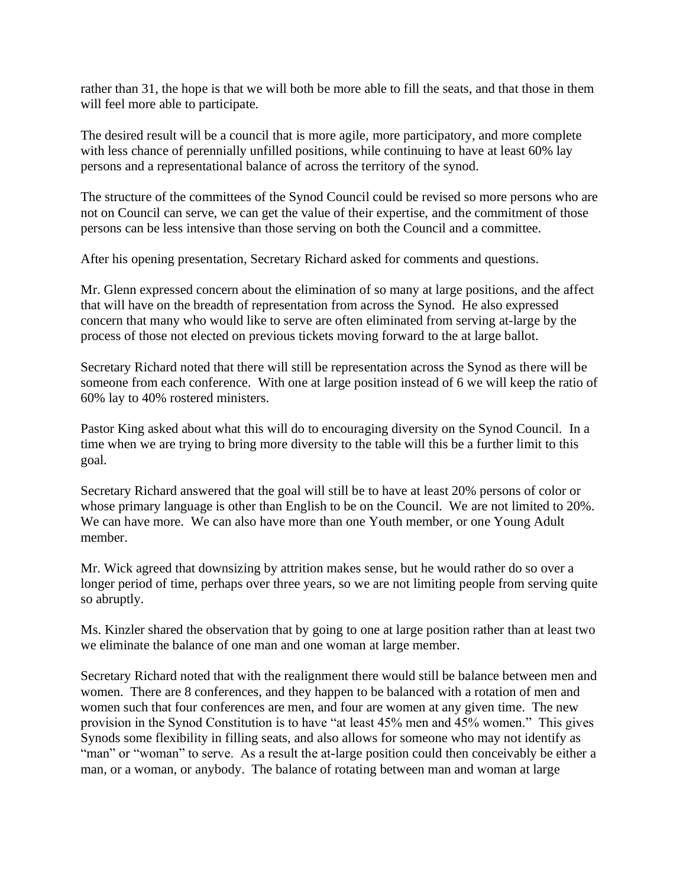rather than 31, the hope is that we will both be more able to fill the seats, and that those in them will feel more able to participate.

The desired result will be a council that is more agile, more participatory, and more complete with less chance of perennially unfilled positions, while continuing to have at least 60% lay persons and a representational balance of across the territory of the synod.

The structure of the committees of the Synod Council could be revised so more persons who are not on Council can serve, we can get the value of their expertise, and the commitment of those persons can be less intensive than those serving on both the Council and a committee.

After his opening presentation, Secretary Richard asked for comments and questions.

Mr. Glenn expressed concern about the elimination of so many at large positions, and the affect that will have on the breadth of representation from across the Synod. He also expressed concern that many who would like to serve are often eliminated from serving at-large by the process of those not elected on previous tickets moving forward to the at large ballot.

Secretary Richard noted that there will still be representation across the Synod as there will be someone from each conference. With one at large position instead of 6 we will keep the ratio of 60% lay to 40% rostered ministers.

Pastor King asked about what this will do to encouraging diversity on the Synod Council. In a time when we are trying to bring more diversity to the table will this be a further limit to this goal.

Secretary Richard answered that the goal will still be to have at least 20% persons of color or whose primary language is other than English to be on the Council. We are not limited to 20%. We can have more. We can also have more than one Youth member, or one Young Adult member.

Mr. Wick agreed that downsizing by attrition makes sense, but he would rather do so over a longer period of time, perhaps over three years, so we are not limiting people from serving quite so abruptly.

Ms. Kinzler shared the observation that by going to one at large position rather than at least two we eliminate the balance of one man and one woman at large member.

Secretary Richard noted that with the realignment there would still be balance between men and women. There are 8 conferences, and they happen to be balanced with a rotation of men and women such that four conferences are men, and four are women at any given time. The new provision in the Synod Constitution is to have "at least 45% men and 45% women." This gives Synods some flexibility in filling seats, and also allows for someone who may not identify as "man" or "woman" to serve. As a result the at-large position could then conceivably be either a man, or a woman, or anybody. The balance of rotating between man and woman at large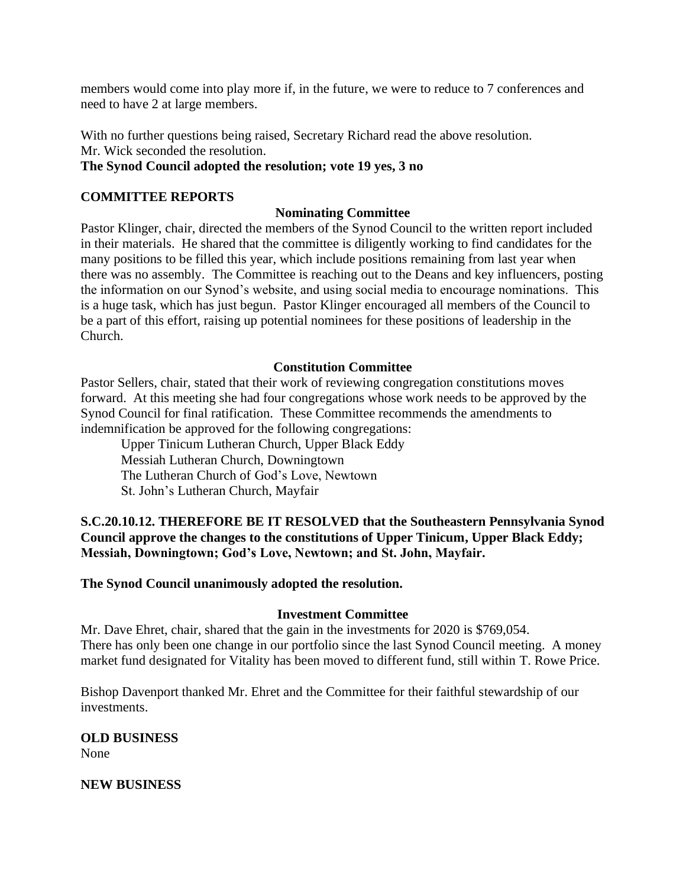members would come into play more if, in the future, we were to reduce to 7 conferences and need to have 2 at large members.

With no further questions being raised, Secretary Richard read the above resolution. Mr. Wick seconded the resolution.

# **The Synod Council adopted the resolution; vote 19 yes, 3 no**

# **COMMITTEE REPORTS**

# **Nominating Committee**

Pastor Klinger, chair, directed the members of the Synod Council to the written report included in their materials. He shared that the committee is diligently working to find candidates for the many positions to be filled this year, which include positions remaining from last year when there was no assembly. The Committee is reaching out to the Deans and key influencers, posting the information on our Synod's website, and using social media to encourage nominations. This is a huge task, which has just begun. Pastor Klinger encouraged all members of the Council to be a part of this effort, raising up potential nominees for these positions of leadership in the Church.

# **Constitution Committee**

Pastor Sellers, chair, stated that their work of reviewing congregation constitutions moves forward. At this meeting she had four congregations whose work needs to be approved by the Synod Council for final ratification. These Committee recommends the amendments to indemnification be approved for the following congregations:

Upper Tinicum Lutheran Church, Upper Black Eddy Messiah Lutheran Church, Downingtown The Lutheran Church of God's Love, Newtown St. John's Lutheran Church, Mayfair

**S.C.20.10.12. THEREFORE BE IT RESOLVED that the Southeastern Pennsylvania Synod Council approve the changes to the constitutions of Upper Tinicum, Upper Black Eddy; Messiah, Downingtown; God's Love, Newtown; and St. John, Mayfair.**

## **The Synod Council unanimously adopted the resolution.**

## **Investment Committee**

Mr. Dave Ehret, chair, shared that the gain in the investments for 2020 is \$769,054. There has only been one change in our portfolio since the last Synod Council meeting. A money market fund designated for Vitality has been moved to different fund, still within T. Rowe Price.

Bishop Davenport thanked Mr. Ehret and the Committee for their faithful stewardship of our investments.

#### **OLD BUSINESS** None

## **NEW BUSINESS**